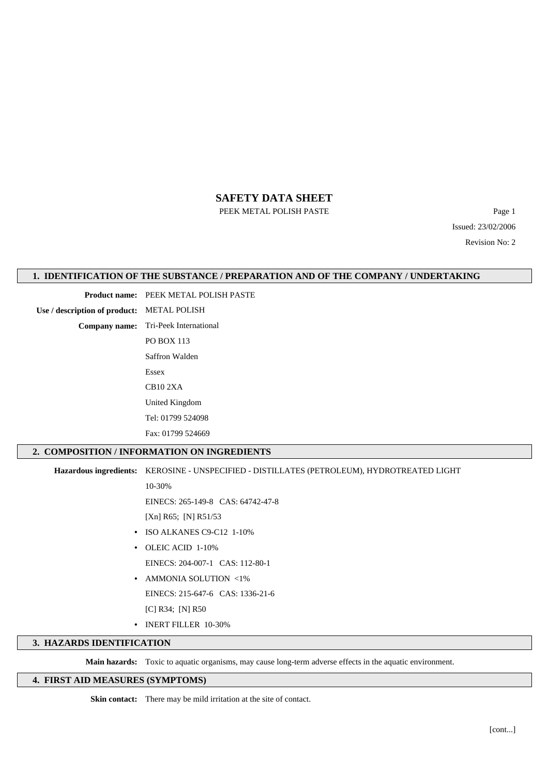PEEK METAL POLISH PASTE Page 1

Issued: 23/02/2006 Revision No: 2

## **1. IDENTIFICATION OF THE SUBSTANCE / PREPARATION AND OF THE COMPANY / UNDERTAKING**

**Product name:** PEEK METAL POLISH PASTE

**Use / description of product:** METAL POLISH

**Company name:** Tri-Peek International PO BOX 113 Saffron Walden Essex CB10 2XA United Kingdom Tel: 01799 524098

Fax: 01799 524669

## **2. COMPOSITION / INFORMATION ON INGREDIENTS**

**Hazardous ingredients:** KEROSINE - UNSPECIFIED - DISTILLATES (PETROLEUM), HYDROTREATED LIGHT

10-30%

EINECS: 265-149-8 CAS: 64742-47-8

[Xn] R65; [N] R51/53

- **•** ISO ALKANES C9-C12 1-10%
- **•** OLEIC ACID 1-10% EINECS: 204-007-1 CAS: 112-80-1
- **•** AMMONIA SOLUTION <1%
- EINECS: 215-647-6 CAS: 1336-21-6
	- [C] R34; [N] R50
- **•** INERT FILLER 10-30%

## **3. HAZARDS IDENTIFICATION**

**Main hazards:** Toxic to aquatic organisms, may cause long-term adverse effects in the aquatic environment.

# **4. FIRST AID MEASURES (SYMPTOMS)**

**Skin contact:** There may be mild irritation at the site of contact.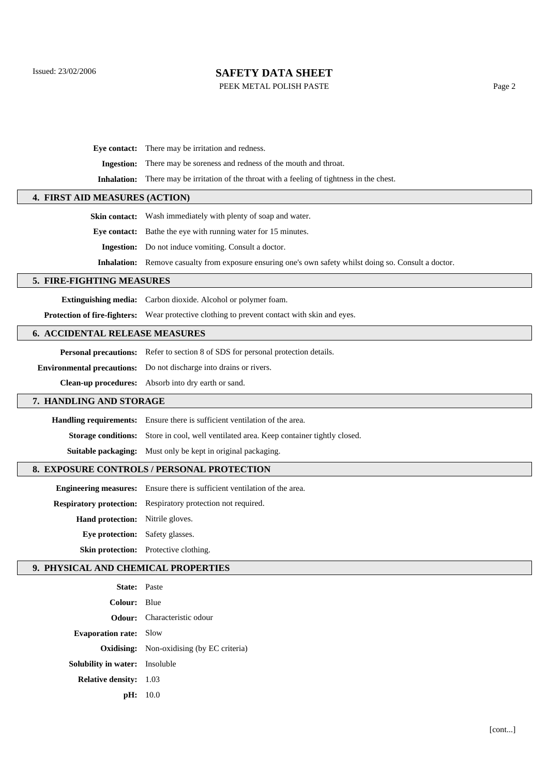PEEK METAL POLISH PASTE Page 2

**Eye contact:** There may be irritation and redness.

**Ingestion:** There may be soreness and redness of the mouth and throat.

**Inhalation:** There may be irritation of the throat with a feeling of tightness in the chest.

# **4. FIRST AID MEASURES (ACTION)**

**Skin contact:** Wash immediately with plenty of soap and water. **Eye contact:** Bathe the eye with running water for 15 minutes. **Ingestion:** Do not induce vomiting. Consult a doctor.

**Inhalation:** Remove casualty from exposure ensuring one's own safety whilst doing so. Consult a doctor.

### **5. FIRE-FIGHTING MEASURES**

**Extinguishing media:** Carbon dioxide. Alcohol or polymer foam.

**Protection of fire-fighters:** Wear protective clothing to prevent contact with skin and eyes.

## **6. ACCIDENTAL RELEASE MEASURES**

**Personal precautions:** Refer to section 8 of SDS for personal protection details.

**Environmental precautions:** Do not discharge into drains or rivers.

**Clean-up procedures:** Absorb into dry earth or sand.

### **7. HANDLING AND STORAGE**

**Handling requirements:** Ensure there is sufficient ventilation of the area.

**Storage conditions:** Store in cool, well ventilated area. Keep container tightly closed.

**Suitable packaging:** Must only be kept in original packaging.

## **8. EXPOSURE CONTROLS / PERSONAL PROTECTION**

**Engineering measures:** Ensure there is sufficient ventilation of the area.

**Respiratory protection:** Respiratory protection not required.

**Hand protection:** Nitrile gloves.

**Eye protection:** Safety glasses.

**Skin protection:** Protective clothing.

## **9. PHYSICAL AND CHEMICAL PROPERTIES**

| <b>State:</b> Paste                   |                                                  |
|---------------------------------------|--------------------------------------------------|
| Colour: Blue                          |                                                  |
|                                       | <b>Odour:</b> Characteristic odour               |
| <b>Evaporation rate:</b> Slow         |                                                  |
|                                       | <b>Oxidising:</b> Non-oxidising (by EC criteria) |
| <b>Solubility in water:</b> Insoluble |                                                  |
| <b>Relative density:</b> 1.03         |                                                  |
|                                       | pH: 10.0                                         |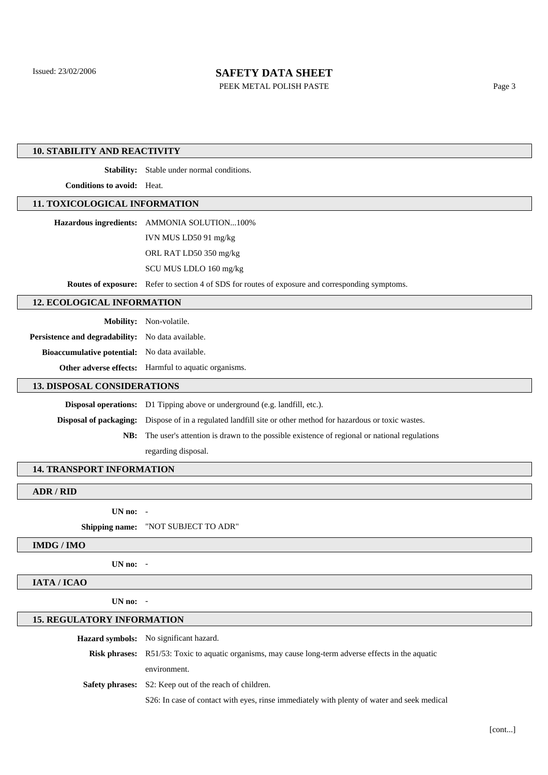PEEK METAL POLISH PASTE Page 3

### **10. STABILITY AND REACTIVITY**

**Stability:** Stable under normal conditions.

**Conditions to avoid:** Heat.

#### **11. TOXICOLOGICAL INFORMATION**

| Hazardous ingredients: AMMONIA SOLUTION100% |
|---------------------------------------------|
| IVN MUS LD50 91 mg/kg                       |
| ORL RAT LD50 350 mg/kg                      |
| SCU MUS LDLO 160 mg/kg                      |
|                                             |

**Routes of exposure:** Refer to section 4 of SDS for routes of exposure and corresponding symptoms.

**12. ECOLOGICAL INFORMATION**

**Mobility:** Non-volatile.

Persistence and degradability: No data available.

**Bioaccumulative potential:** No data available.

**Other adverse effects:** Harmful to aquatic organisms.

#### **13. DISPOSAL CONSIDERATIONS**

**Disposal operations:** D1 Tipping above or underground (e.g. landfill, etc.). **Disposal of packaging:** Dispose of in a regulated landfill site or other method for hazardous or toxic wastes. **NB:** The user's attention is drawn to the possible existence of regional or national regulations regarding disposal.

#### **14. TRANSPORT INFORMATION**

**ADR / RID**

**UN no:** -

**Shipping name:** "NOT SUBJECT TO ADR"

### **IMDG / IMO**

**UN no:** -

# **IATA / ICAO**

**UN no:** -

#### **15. REGULATORY INFORMATION**

**Hazard symbols:** No significant hazard.

**Risk phrases:** R51/53: Toxic to aquatic organisms, may cause long-term adverse effects in the aquatic

environment.

**Safety phrases:** S2: Keep out of the reach of children.

S26: In case of contact with eyes, rinse immediately with plenty of water and seek medical